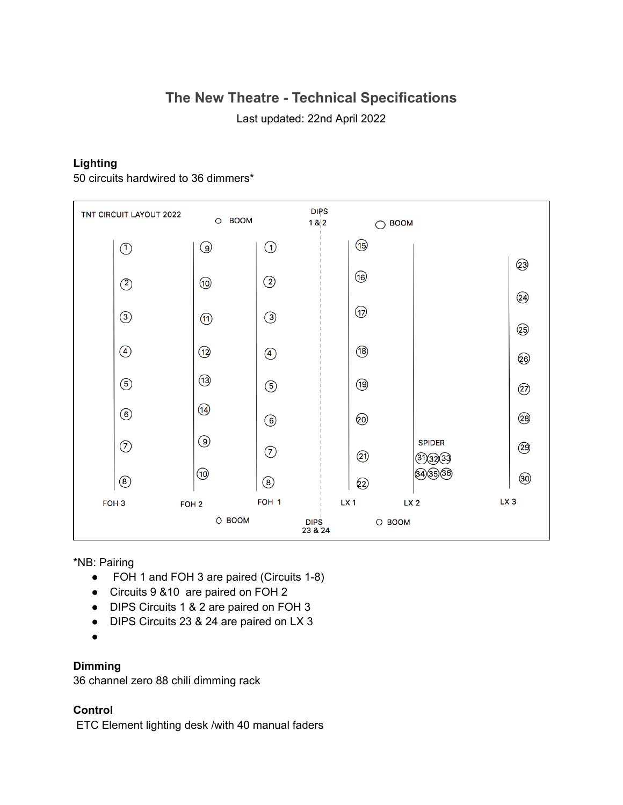# **The New Theatre - Technical Specifications**

Last updated: 22nd April 2022

### **Lighting**

50 circuits hardwired to 36 dimmers\*



\*NB: Pairing

- FOH 1 and FOH 3 are paired (Circuits 1-8)
- Circuits 9 &10 are paired on FOH 2
- DIPS Circuits 1 & 2 are paired on FOH 3
- DIPS Circuits 23 & 24 are paired on LX 3
- ●

## **Dimming**

36 channel zero 88 chili dimming rack

### **Control**

ETC Element lighting desk /with 40 manual faders